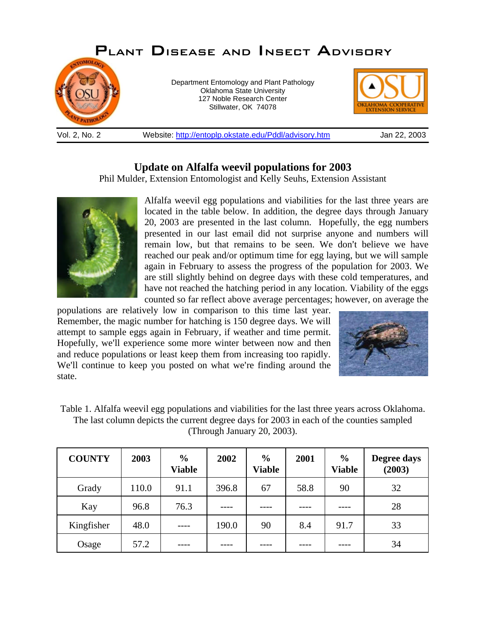

## **Update on Alfalfa weevil populations for 2003**

Phil Mulder, Extension Entomologist and Kelly Seuhs, Extension Assistant



Alfalfa weevil egg populations and viabilities for the last three years are located in the table below. In addition, the degree days through January 20, 2003 are presented in the last column. Hopefully, the egg numbers presented in our last email did not surprise anyone and numbers will remain low, but that remains to be seen. We don't believe we have reached our peak and/or optimum time for egg laying, but we will sample again in February to assess the progress of the population for 2003. We are still slightly behind on degree days with these cold temperatures, and have not reached the hatching period in any location. Viability of the eggs counted so far reflect above average percentages; however, on average the

populations are relatively low in comparison to this time last year. Remember, the magic number for hatching is 150 degree days. We will attempt to sample eggs again in February, if weather and time permit. Hopefully, we'll experience some more winter between now and then and reduce populations or least keep them from increasing too rapidly. We'll continue to keep you posted on what we're finding around the state.



Table 1. Alfalfa weevil egg populations and viabilities for the last three years across Oklahoma. The last column depicts the current degree days for 2003 in each of the counties sampled (Through January 20, 2003).

| <b>COUNTY</b> | 2003  | $\frac{6}{6}$<br><b>Viable</b> | 2002  | $\frac{0}{0}$<br><b>Viable</b> | 2001 | $\frac{0}{0}$<br><b>Viable</b> | Degree days<br>(2003) |
|---------------|-------|--------------------------------|-------|--------------------------------|------|--------------------------------|-----------------------|
| Grady         | 110.0 | 91.1                           | 396.8 | 67                             | 58.8 | 90                             | 32                    |
| Kay           | 96.8  | 76.3                           | $---$ |                                | ---- |                                | 28                    |
| Kingfisher    | 48.0  | ----                           | 190.0 | 90                             | 8.4  | 91.7                           | 33                    |
| Osage         | 57.2  |                                |       |                                |      |                                | 34                    |